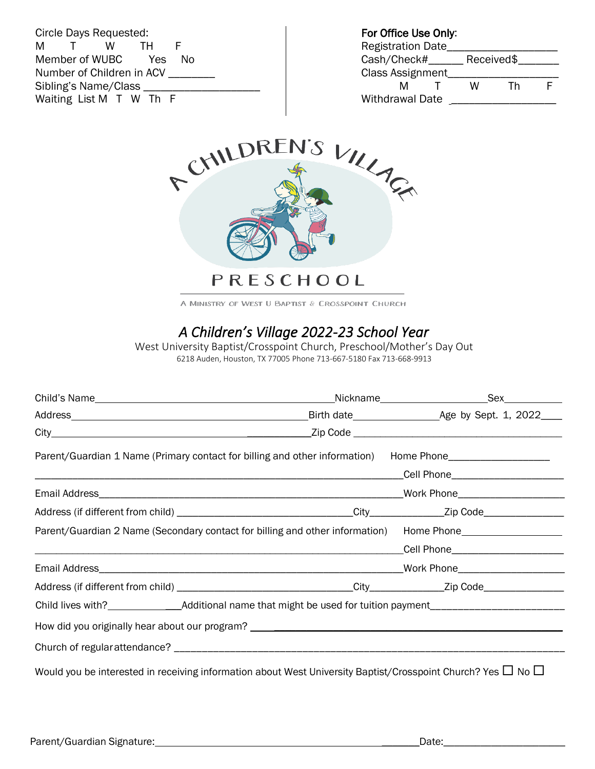Circle Days Requested: M T W TH F Member of WUBC Yes No Number of Children in ACV \_\_\_\_ Sibling's Name/Class \_\_\_\_\_\_\_\_\_\_\_\_\_\_\_\_\_\_\_\_ Waiting List M T W Th F

For Office Use Only:

| <b>Registration Date</b> |  |            |    |  |
|--------------------------|--|------------|----|--|
| Cash/Check#              |  | Received\$ |    |  |
| <b>Class Assignment</b>  |  |            |    |  |
| м                        |  | w          | Тh |  |
| <b>Withdrawal Date</b>   |  |            |    |  |



A MINISTRY OF WEST U BAPTIST & CROSSPOINT CHURCH

# *A Children's Village 2022-23 School Year*

West University Baptist/Crosspoint Church, Preschool/Mother's Day Out 6218 Auden, Houston, TX 77005 Phone 713-667-5180 Fax 713-668-9913

| Parent/Guardian 1 Name (Primary contact for billing and other information) Home Phone_______________                   |  |  |  |
|------------------------------------------------------------------------------------------------------------------------|--|--|--|
|                                                                                                                        |  |  |  |
|                                                                                                                        |  |  |  |
|                                                                                                                        |  |  |  |
| Parent/Guardian 2 Name (Secondary contact for billing and other information) Home Phone_____________                   |  |  |  |
|                                                                                                                        |  |  |  |
|                                                                                                                        |  |  |  |
|                                                                                                                        |  |  |  |
|                                                                                                                        |  |  |  |
|                                                                                                                        |  |  |  |
|                                                                                                                        |  |  |  |
| Would you be interested in receiving information about West University Baptist/Crosspoint Church? Yes $\Box$ No $\Box$ |  |  |  |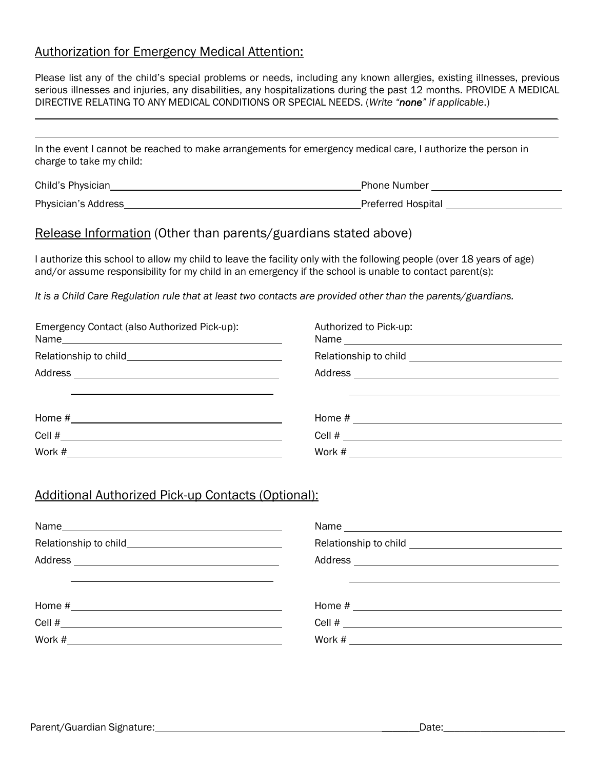### Authorization for Emergency Medical Attention:

Please list any of the child's special problems or needs, including any known allergies, existing illnesses, previous serious illnesses and injuries, any disabilities, any hospitalizations during the past 12 months. PROVIDE A MEDICAL DIRECTIVE RELATING TO ANY MEDICAL CONDITIONS OR SPECIAL NEEDS. (*Write "none" if applicable*.)

In the event I cannot be reached to make arrangements for emergency medical care, I authorize the person in charge to take my child:

| Child's Physician   | <b>Phone Number</b>       |
|---------------------|---------------------------|
| Physician's Address | <b>Preferred Hospital</b> |

### Release Information (Other than parents/guardians stated above)

I authorize this school to allow my child to leave the facility only with the following people (over 18 years of age) and/or assume responsibility for my child in an emergency if the school is unable to contact parent(s):

*It is a Child Care Regulation rule that at least two contacts are provided other than the parents/guardians.*

| Emergency Contact (also Authorized Pick-up): | Authorized to Pick-up: |
|----------------------------------------------|------------------------|
|                                              |                        |
|                                              |                        |
|                                              |                        |
|                                              |                        |
|                                              |                        |
|                                              | Work #                 |

### Additional Authorized Pick-up Contacts (Optional):

| Home # 2008 2009 2012 2022 2023 2024 2022 2023 2024 2022 2023 2024 2022 2023 2024 2022 2023 2024 2023 2024 20 |
|---------------------------------------------------------------------------------------------------------------|
|                                                                                                               |
|                                                                                                               |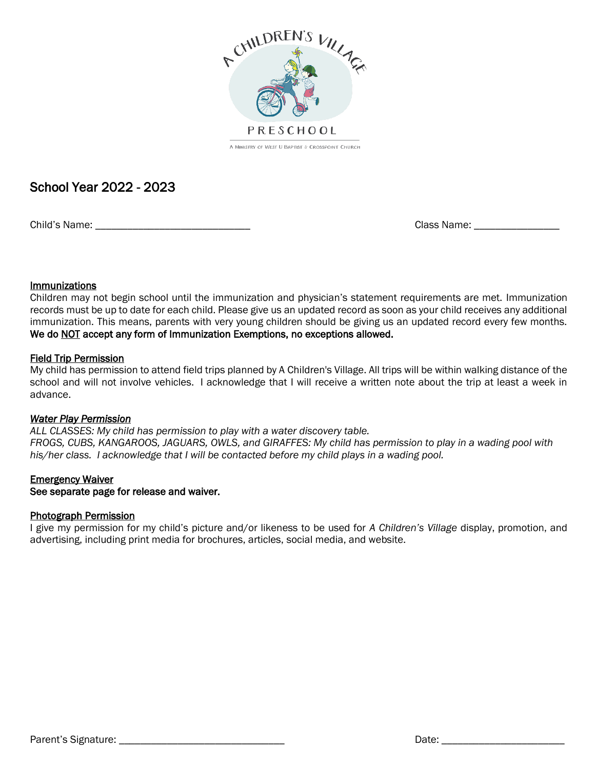

## School Year 2022 - 2023

Child's Name: \_\_\_\_\_\_\_\_\_\_\_\_\_\_\_\_\_\_\_\_\_\_\_\_\_\_\_\_\_ Class Name: \_\_\_\_\_\_\_\_\_\_\_\_\_\_\_\_

#### **Immunizations**

Children may not begin school until the immunization and physician's statement requirements are met. Immunization records must be up to date for each child. Please give us an updated record as soon as your child receives any additional immunization. This means, parents with very young children should be giving us an updated record every few months. We do NOT accept any form of Immunization Exemptions, no exceptions allowed.

#### Field Trip Permission

My child has permission to attend field trips planned by A Children's Village. All trips will be within walking distance of the school and will not involve vehicles. I acknowledge that I will receive a written note about the trip at least a week in advance.

#### *Water Play Permission*

*ALL CLASSES: My child has permission to play with a water discovery table. FROGS, CUBS, KANGAROOS, JAGUARS, OWLS, and GIRAFFES: My child has permission to play in a wading pool with his/her class. I acknowledge that I will be contacted before my child plays in a wading pool.*

#### **Emergency Waiver**

#### See separate page for release and waiver.

#### Photograph Permission

I give my permission for my child's picture and/or likeness to be used for *A Children's Village* display, promotion, and advertising, including print media for brochures, articles, social media, and website.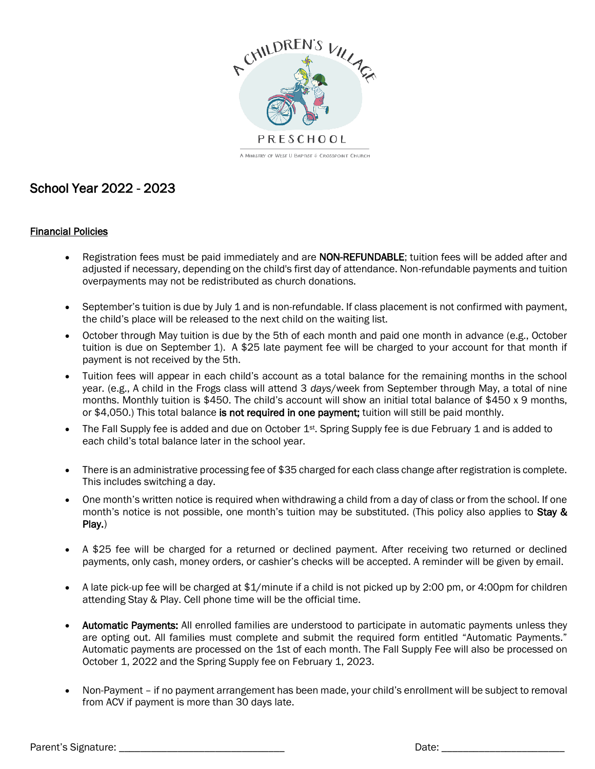

# School Year 2022 - 2023

#### Financial Policies

- Registration fees must be paid immediately and are NON-REFUNDABLE; tuition fees will be added after and adjusted if necessary, depending on the child's first day of attendance. Non-refundable payments and tuition overpayments may not be redistributed as church donations.
- September's tuition is due by July 1 and is non-refundable. If class placement is not confirmed with payment, the child's place will be released to the next child on the waiting list.
- October through May tuition is due by the 5th of each month and paid one month in advance (e.g., October tuition is due on September 1). A \$25 late payment fee will be charged to your account for that month if payment is not received by the 5th.
- Tuition fees will appear in each child's account as a total balance for the remaining months in the school year. (e.g., A child in the Frogs class will attend 3 *days*/week from September through May, a total of nine months. Monthly tuition is \$450. The child's account will show an initial total balance of \$450 x 9 months, or \$4,050.) This total balance is not required in one payment; tuition will still be paid monthly.
- The Fall Supply fee is added and due on October  $1^{st}$ . Spring Supply fee is due February 1 and is added to each child's total balance later in the school year.
- There is an administrative processing fee of \$35 charged for each class change after registration is complete. This includes switching a day.
- One month's written notice is required when withdrawing a child from a day of class or from the school. If one month's notice is not possible, one month's tuition may be substituted. (This policy also applies to Stay & Play.)
- A \$25 fee will be charged for a returned or declined payment. After receiving two returned or declined payments, only cash, money orders, or cashier's checks will be accepted. A reminder will be given by email.
- A late pick-up fee will be charged at \$1/minute if a child is not picked up by 2:00 pm, or 4:00pm for children attending Stay & Play. Cell phone time will be the official time.
- Automatic Payments: All enrolled families are understood to participate in automatic payments unless they are opting out. All families must complete and submit the required form entitled "Automatic Payments." Automatic payments are processed on the 1st of each month. The Fall Supply Fee will also be processed on October 1, 2022 and the Spring Supply fee on February 1, 2023.
- Non-Payment if no payment arrangement has been made, your child's enrollment will be subject to removal from ACV if payment is more than 30 days late.